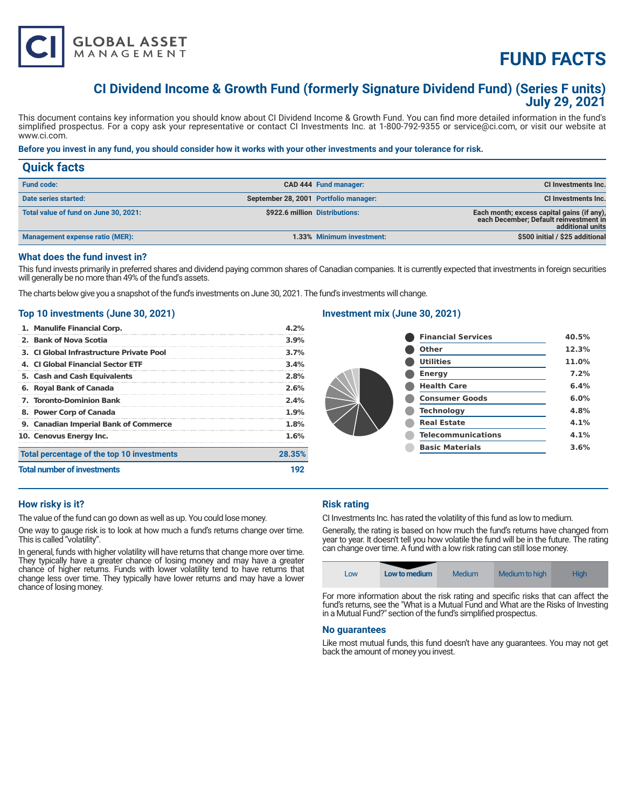

# **FUND FACTS**

# **CI Dividend Income & Growth Fund (formerly Signature Dividend Fund) (Series F units) July 29, 2021**

This document contains key information you should know about CI Dividend Income & Growth Fund. You can find more detailed information in the fund's simplified prospectus. For a copy ask your representative or contact CI Investments Inc. at 1-800-792-9355 or service@ci.com, or visit our website at www.ci.com.

# **Before you invest in any fund, you should consider how it works with your other investments and your tolerance for risk.**

| <b>Quick facts</b>                    |                                       |                           |                                                                                                          |
|---------------------------------------|---------------------------------------|---------------------------|----------------------------------------------------------------------------------------------------------|
| <b>Fund code:</b>                     |                                       | CAD 444 Fund manager:     | CI Investments Inc.                                                                                      |
| Date series started:                  | September 28, 2001 Portfolio manager: |                           | CI Investments Inc.                                                                                      |
| Total value of fund on June 30, 2021: | \$922.6 million Distributions:        |                           | Each month; excess capital gains (if any),<br>each December; Default reinvestment in<br>additional units |
| Management expense ratio (MER):       |                                       | 1.33% Minimum investment: | \$500 initial / \$25 additional                                                                          |

# **What does the fund invest in?**

This fund invests primarily in preferred shares and dividend paying common shares of Canadian companies. It is currently expected that investments in foreign securities will generally be no more than 49% of the fund's assets.

The charts below give you a snapshot of the fund's investments on June 30, 2021. The fund's investments will change.

# **Top 10 investments (June 30, 2021)**

| 1. Manulife Financial Corp.                | 4.2%   |
|--------------------------------------------|--------|
| 2. Bank of Nova Scotia                     | 3.9%   |
| 3. CI Global Infrastructure Private Pool   | 3.7%   |
| 4. CLGlobal Financial Sector ETF           | 3.4%   |
| 5. Cash and Cash Equivalents               | 2.8%   |
| 6. Royal Bank of Canada                    | 2.6%   |
| <b>7. Toronto-Dominion Bank</b>            | 2.4%   |
| 8. Power Corp of Canada                    | 1.9%   |
| 9. Canadian Imperial Bank of Commerce      | 1.8%   |
| 10. Cenovus Energy Inc.                    | 1.6%   |
| Total percentage of the top 10 investments | 28.35% |
| <b>Total number of investments</b>         | 192    |

# **Investment mix (June 30, 2021)**

| <b>Financial Services</b> | 40.5% |
|---------------------------|-------|
| <b>Other</b>              | 12.3% |
| <b>Utilities</b>          | 11.0% |
| <b>Energy</b>             | 7.2%  |
| <b>Health Care</b>        | 6.4%  |
| <b>Consumer Goods</b>     | 6.0%  |
| <b>Technology</b>         | 4.8%  |
| <b>Real Estate</b>        | 4.1%  |
| <b>Telecommunications</b> | 4.1%  |
| <b>Basic Materials</b>    | 3.6%  |
|                           |       |

# **How risky is it?**

The value of the fund can go down as well as up. You could lose money.

One way to gauge risk is to look at how much a fund's returns change over time. This is called "volatility".

In general, funds with higher volatility will have returns that change more over time. They typically have a greater chance of losing money and may have a greater chance of higher returns. Funds with lower volatility tend to have returns that change less over time. They typically have lower returns and may have a lower chance of losing money.

# **Risk rating**

CI Investments Inc. has rated the volatility of this fund as low to medium.

Generally, the rating is based on how much the fund's returns have changed from year to year. It doesn't tell you how volatile the fund will be in the future. The rating can change over time. A fund with a low risk rating can still lose money.



For more information about the risk rating and specific risks that can affect the fund's returns, see the "What is a Mutual Fund and What are the Risks of Investing in a Mutual Fund?" section of the fund's simplified prospectus.

#### **No guarantees**

Like most mutual funds, this fund doesn't have any guarantees. You may not get back the amount of money you invest.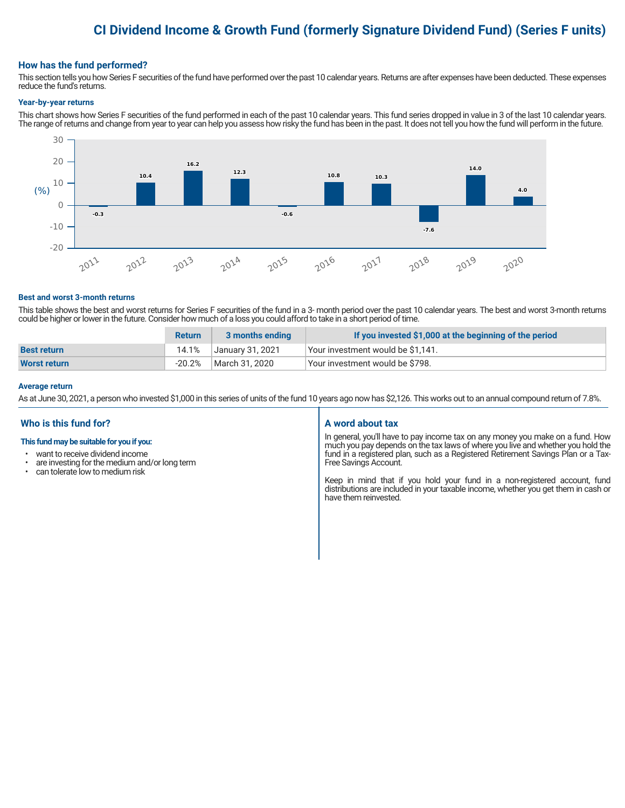# **CI Dividend Income & Growth Fund (formerly Signature Dividend Fund) (Series F units)**

## **How has the fund performed?**

This section tells you how Series F securities of the fund have performed over the past 10 calendar years. Returns are after expenses have been deducted. These expenses reduce the fund's returns.

#### **Year-by-year returns**

This chart shows how Series F securities of the fund performed in each of the past 10 calendar years. This fund series dropped in value in 3 of the last 10 calendar years. The range of returns and change from year to year can help you assess how risky the fund has been in the past. It does not tell you how the fund will perform in the future.



#### **Best and worst 3-month returns**

This table shows the best and worst returns for Series F securities of the fund in a 3- month period over the past 10 calendar years. The best and worst 3-month returns could be higher or lower in the future. Consider how much of a loss you could afford to take in a short period of time.

|                    | <b>Return</b> | 3 months ending  | If you invested \$1,000 at the beginning of the period |
|--------------------|---------------|------------------|--------------------------------------------------------|
| <b>Best return</b> | 14.1%         | January 31, 2021 | √Your investment would be \$1,141.                     |
| Worst return       | $-20.2%$      | March 31, 2020   | Your investment would be \$798.                        |

#### **Average return**

As at June 30, 2021, a person who invested \$1,000 in this series of units of the fund 10 years ago now has \$2,126. This works out to an annual compound return of 7.8%.

# **Who is this fund for?**

## **This fund may be suitable for you if you:**

- want to receive dividend income
- $\cdot$  are investing for the medium and/or long term<br> $\cdot$  can telerate low to medium risk
- can tolerate low to medium risk

#### **A word about tax**

In general, you'll have to pay income tax on any money you make on a fund. How much you pay depends on the tax laws of where you live and whether you hold the fund in a registered plan, such as a Registered Retirement Savings Plan or a Tax-Free Savings Account.

Keep in mind that if you hold your fund in a non-registered account, fund distributions are included in your taxable income, whether you get them in cash or have them reinvested.